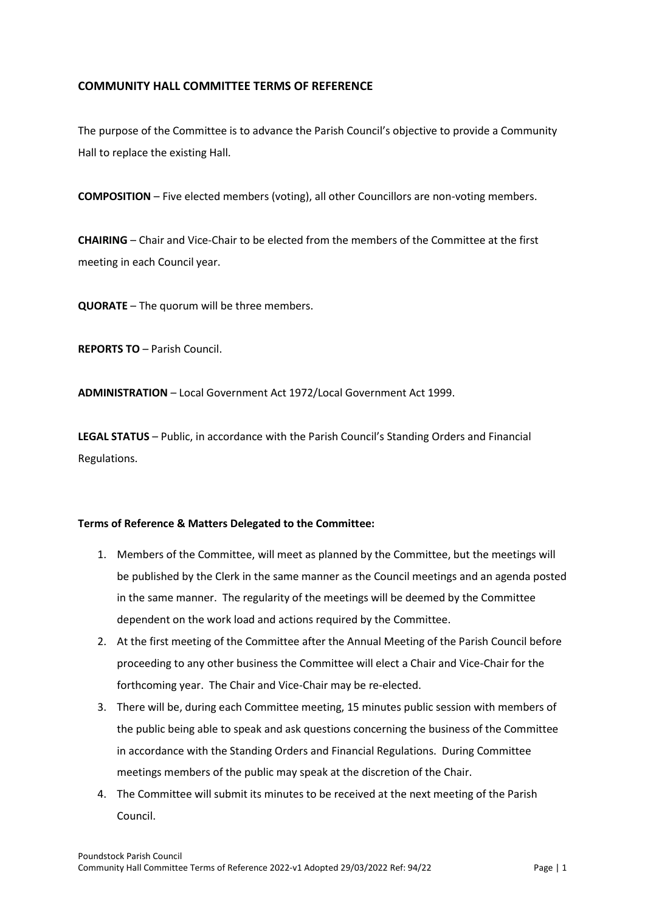## **COMMUNITY HALL COMMITTEE TERMS OF REFERENCE**

The purpose of the Committee is to advance the Parish Council's objective to provide a Community Hall to replace the existing Hall.

**COMPOSITION** – Five elected members (voting), all other Councillors are non-voting members.

**CHAIRING** – Chair and Vice-Chair to be elected from the members of the Committee at the first meeting in each Council year.

**QUORATE** – The quorum will be three members.

**REPORTS TO** – Parish Council.

**ADMINISTRATION** – Local Government Act 1972/Local Government Act 1999.

**LEGAL STATUS** – Public, in accordance with the Parish Council's Standing Orders and Financial Regulations.

## **Terms of Reference & Matters Delegated to the Committee:**

- 1. Members of the Committee, will meet as planned by the Committee, but the meetings will be published by the Clerk in the same manner as the Council meetings and an agenda posted in the same manner. The regularity of the meetings will be deemed by the Committee dependent on the work load and actions required by the Committee.
- 2. At the first meeting of the Committee after the Annual Meeting of the Parish Council before proceeding to any other business the Committee will elect a Chair and Vice-Chair for the forthcoming year. The Chair and Vice-Chair may be re-elected.
- 3. There will be, during each Committee meeting, 15 minutes public session with members of the public being able to speak and ask questions concerning the business of the Committee in accordance with the Standing Orders and Financial Regulations. During Committee meetings members of the public may speak at the discretion of the Chair.
- 4. The Committee will submit its minutes to be received at the next meeting of the Parish Council.